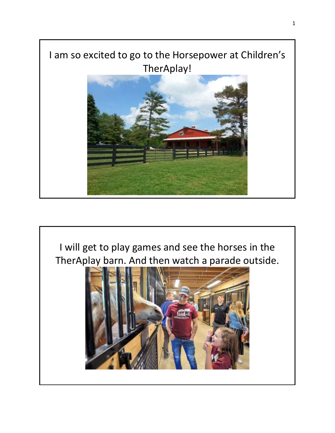## I am so excited to go to the Horsepower at Children's TherAplay!



I will get to play games and see the horses in the TherAplay barn. And then watch a parade outside.

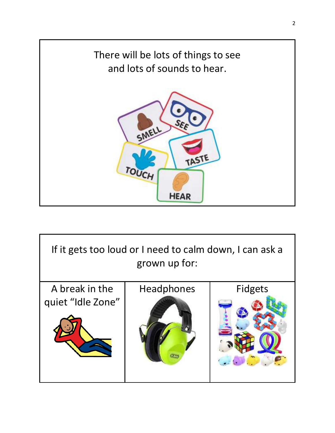

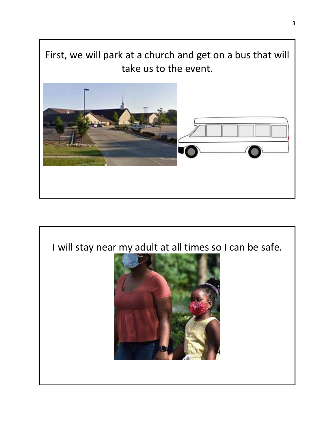First, we will park at a church and get on a bus that will take us to the event.



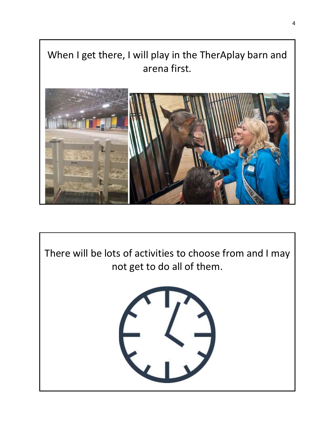When I get there, I will play in the TherAplay barn and arena first.



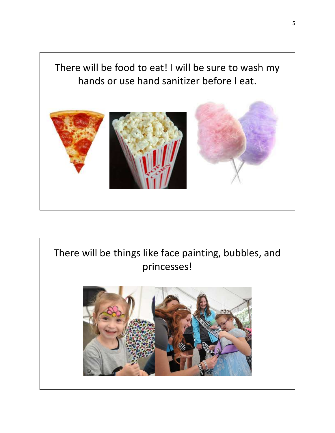There will be food to eat! I will be sure to wash my hands or use hand sanitizer before I eat.



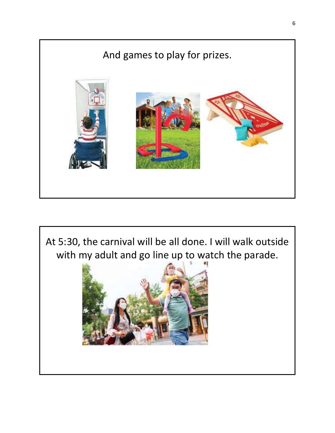

At 5:30, the carnival will be all done. I will walk outside with my adult and go line up to watch the parade.

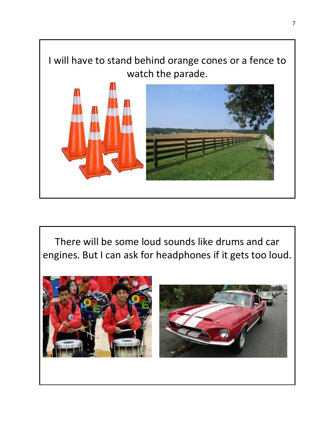

There will be some loud sounds like drums and car engines. But I can ask for headphones if it gets too loud.

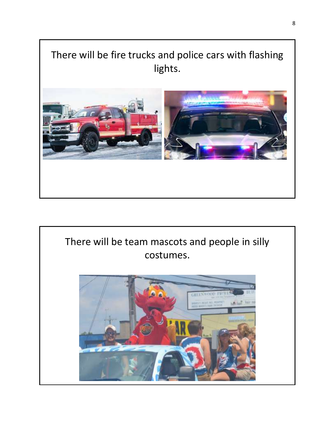## There will be fire trucks and police cars with flashing lights.



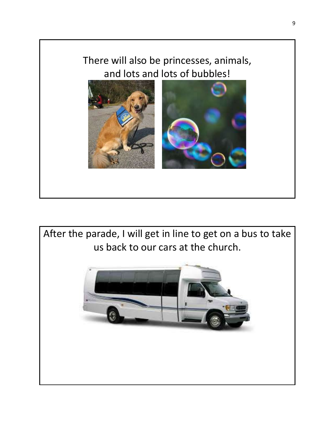## There will also be princesses, animals, and lots and lots of bubbles!



After the parade, I will get in line to get on a bus to take us back to our cars at the church.